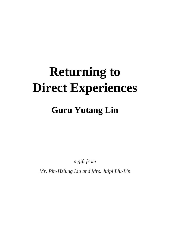# **Returning to Direct Experiences**

# **Guru Yutang Lin**

*a gift from*

*Mr. Pin-Hsiung Liu and Mrs. Juipi Liu-Lin*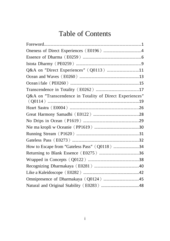# Table of Contents

| Q&A on "Direct Experiences" (Q0113) 11                   |  |
|----------------------------------------------------------|--|
|                                                          |  |
|                                                          |  |
|                                                          |  |
| Q&A on "Transcendence in Totality of Direct Experiences" |  |
|                                                          |  |
|                                                          |  |
|                                                          |  |
|                                                          |  |
|                                                          |  |
|                                                          |  |
| How to Escape from "Gateless Pass" (Q0118) 34            |  |
|                                                          |  |
|                                                          |  |
|                                                          |  |
|                                                          |  |
|                                                          |  |
|                                                          |  |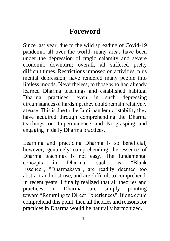# **Foreword**

Since last year, due to the wild spreading of Covid-19 pandemic all over the world, many areas have been under the depression of tragic calamity and severe economic downturn; overall, all suffered pretty difficult times. Restrictions imposed on activities, plus mental depression, have rendered many people into lifeless moods. Nevertheless, to those who had already learned Dharma teachings and established habitual Dharma practices, even in such depressing circumstances of hardship, they could remain relatively at ease. This is due to the ″anti-pandemic″ stability they have acquired through comprehending the Dharma teachings on Impermanence and No-grasping and engaging in daily Dharma practices.

Learning and practicing Dharma is so beneficial; however, genuinely comprehending the essence of Dharma teachings is not easy. The fundamental concepts in Dharma, such as ″Blank Essence″, ″Dharmakaya″, are readily deemed too abstract and obstruse, and are difficult to comprehend. In recent years, I finally realized that all theories and practices in Dharma are simply pointing toward ″Returning to Direct Experiences″. If one could comprehend this point, then all theories and reasons for practices in Dharma would be naturally harmonized.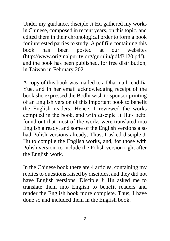Under my guidance, disciple Ji Hu gathered my works in Chinese, composed in recent years, on this topic, and edited them in their chronological order to form a book for interested parties to study. A pdf file containing this book has been posted at our websites (http://www.originalpurity.org/gurulin/pdf/B120.pdf), and the book has been published, for free distribution, in Taiwan in February 2021.

A copy of this book was mailed to a Dharma friend Jia Yue, and in her email acknowledging receipt of the book she expressed the Bodhi wish to sponsor printing of an English version of this important book to benefit the English readers. Hence, I reviewed the works compiled in the book, and with disciple Ji Hu′s help, found out that most of the works were translated into English already, and some of the English versions also had Polish versions already. Thus, I asked disciple Ji Hu to compile the English works, and, for those with Polish version, to include the Polish version right after the English work.

In the Chinese book there are 4 articles, containing my replies to questions raised by disciples, and they did not have English versions. Disciple Ji Hu asked me to translate them into English to benefit readers and render the English book more complete. Thus, I have done so and included them in the English book.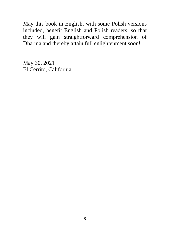May this book in English, with some Polish versions included, benefit English and Polish readers, so that they will gain straightforward comprehension of Dharma and thereby attain full enlightenment soon!

May 30, 2021 El Cerrito, California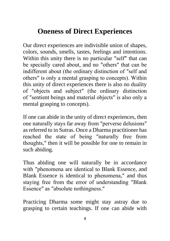# **Oneness of Direct Experiences**

Our direct experiences are indivisible union of shapes, colors, sounds, smells, tastes, feelings and intentions. Within this unity there is no particular "self" that can be specially cared about, and no ″others″ that can be indifferent about (the ordinary distinction of ″self and others″ is only a mental grasping to concepts). Within this unity of direct experiences there is also no duality of ″objects and subject″ (the ordinary distinction of ″sentient beings and material objects″ is also only a mental grasping to concepts).

If one can abide in the unity of direct experiences, then one naturally stays far away from ″perverse delusions″ as referred to in Sutras. Once a Dharma practitioner has reached the state of being ″naturally free from thoughts,″ then it will be possible for one to remain in such abiding.

Thus abiding one will naturally be in accordance with "phenomena are identical to Blank Essence, and Blank Essence is identical to phenomena,″ and thus staying free from the error of understanding ″Blank Essence″ as ″absolute nothingness.″

Practicing Dharma some might stay astray due to grasping to certain teachings. If one can abide with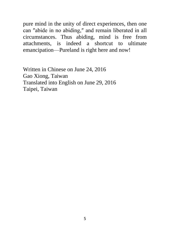pure mind in the unity of direct experiences, then one can ″abide in no abiding,″ and remain liberated in all circumstances. Thus abiding, mind is free from attachments, is indeed a shortcut to ultimate emancipation—Pureland is right here and now!

Written in Chinese on June 24, 2016 Gao Xiong, Taiwan Translated into English on June 29, 2016 Taipei, Taiwan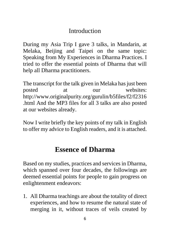### **Introduction**

During my Asia Trip I gave 3 talks, in Mandarin, at Melaka, Beijing and Taipei on the same topic: Speaking from My Experiences in Dharma Practices. I tried to offer the essential points of Dharma that will help all Dharma practitioners.

The transcript for the talk given in Melaka has just been posted at our websites: http://www.originalpurity.org/gurulin/b5files/f2/f2316 .html And the MP3 files for all 3 talks are also posted at our websites already.

Now I write briefly the key points of my talk in English to offer my advice to English readers, and it is attached.

# **Essence of Dharma**

Based on my studies, practices and services in Dharma, which spanned over four decades, the followings are deemed essential points for people to gain progress on enlightenment endeavors:

1. All Dharma teachings are about the totality of direct experiences, and how to resume the natural state of merging in it, without traces of veils created by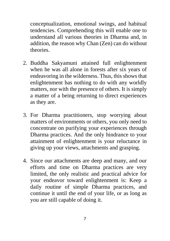conceptualization, emotional swings, and habitual tendencies. Comprehending this will enable one to understand all various theories in Dharma and, in addition, the reason why Chan (Zen) can do without theories.

- 2. Buddha Sakyamuni attained full enlightenment when he was all alone in forests after six years of endeavoring in the wilderness. Thus, this shows that enlightenment has nothing to do with any worldly matters, nor with the presence of others. It is simply a matter of a being returning to direct experiences as they are.
- 3. For Dharma practitioners, stop worrying about matters of environments or others, you only need to concentrate on purifying your experiences through Dharma practices. And the only hindrance to your attainment of enlightenment is your reluctance in giving up your views, attachments and grasping.
- 4. Since our attachments are deep and many, and our efforts and time on Dharma practices are very limited, the only realistic and practical advice for your endeavor toward enlightenment is: Keep a daily routine of simple Dharma practices, and continue it until the end of your life, or as long as you are still capable of doing it.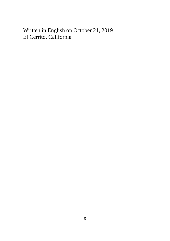Written in English on October 21, 2019 El Cerrito, California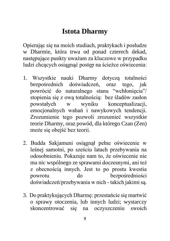# **Istota Dharmy**

Opierając się na moich studiach, praktykach i posłudze w Dharmie, która trwa od ponad czterech dekad, następujące punkty uważam za kluczowe w przypadku ludzi chcących osiągnąć postęp na ścieżce oświecenia:

- 1. Wszystkie nauki Dharmy dotyczą totalności bezpośrednich doświadczeń, oraz tego, jak powrócić do naturalnego stanu "wchłonięcia"/ stopienia się z ową totalnością: bez śladów zasłon powstałych w wyniku konceptualizacji, emocjonalnych wahań i nawykowych tendencji. Zrozumienie tego pozwoli zrozumieć wszystkie teorie Dharmy, oraz powód, dla którego Czan (Zen) może się obejść bez teorii.
- 2. Budda Sakjamuni osiągnął pełne oświecenie w leśnej samotni, po sześciu latach przebywania na odosobnieniu. Pokazuje nam to, że oświecenie nie ma nic wspólnego ze sprawami doczesnymi, ani też z obecnością innych. Jest to po prostu kwestia powrotu do bezpośredniości doświadczeń/przebywania w nich - takich jakimi są.
- 3. Do praktykujących Dharmę: przestańcie się martwić o sprawy otoczenia, lub innych ludzi; wystarczy skoncentrować się na oczyszczeniu swoich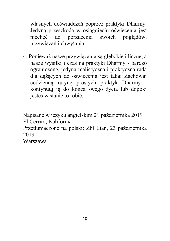własnych doświadczeń poprzez praktyki Dharmy. Jedyną przeszkodą w osiągnięciu oświecenia jest niechęć do porzucenia swoich poglądów, przywiązań i chwytania.

4. Ponieważ nasze przywiązania są głębokie i liczne, a nasze wysiłki i czas na praktyki Dharmy - bardzo ograniczone, jedyna realistyczna i praktyczna rada dla dążących do oświecenia jest taka: Zachowaj codzienną rutynę prostych praktyk Dharmy i kontynuuj ją do końca swego życia lub dopóki jesteś w stanie to robić.

Napisane w języku angielskim 21 października 2019 El Cerrito, Kalifornia Przetłumaczone na polski: Zhi Lian, 23 października 2019 Warszawa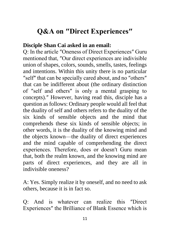# **Q&A on ″Direct Experiences″**

#### **Disciple Shan Cai asked in an email:**

Q: In the article ″Oneness of Direct Experiences″ Guru mentioned that, ″Our direct experiences are indivisible union of shapes, colors, sounds, smells, tastes, feelings and intentions. Within this unity there is no particular ″self″ that can be specially cared about, and no ″others″ that can be indifferent about (the ordinary distinction of ″self and others″ is only a mental grasping to concepts).″ However, having read this, disciple has a question as follows: Ordinary people would all feel that the duality of self and others refers to the duality of the six kinds of sensible objects and the mind that comprehends these six kinds of sensible objects; in other words, it is the duality of the knowing mind and the objects known—the duality of direct experiences and the mind capable of comprehending the direct experiences. Therefore, does or doesn′t Guru mean that, both the realm known, and the knowing mind are parts of direct experiences, and they are all in indivisible oneness?

A: Yes. Simply realize it by oneself, and no need to ask others, because it is in fact so.

Q: And is whatever can realize this ″Direct Experiences″ the Brilliance of Blank Essence which is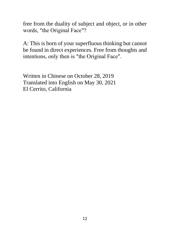free from the duality of subject and object, or in other words, ″the Original Face″?

A: This is born of your superfluous thinking but cannot be found in direct experiences. Free from thoughts and intentions, only then is ″the Original Face″.

Written in Chinese on October 28, 2019 Translated into English on May 30, 2021 El Cerrito, California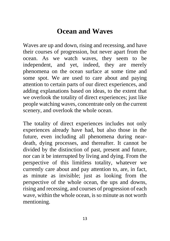# **Ocean and Waves**

Waves are up and down, rising and recessing, and have their courses of progression, but never apart from the ocean. As we watch waves, they seem to be independent, and yet, indeed, they are merely phenomena on the ocean surface at some time and some spot. We are used to care about and paying attention to certain parts of our direct experiences, and adding explanations based on ideas, to the extent that we overlook the totality of direct experiences; just like people watching waves, concentrate only on the current scenery, and overlook the whole ocean.

The totality of direct experiences includes not only experiences already have had, but also those in the future, even including all phenomena during neardeath, dying processes, and thereafter. It cannot be divided by the distinction of past, present and future, nor can it be interrupted by living and dying. From the perspective of this limitless totality, whatever we currently care about and pay attention to, are, in fact, as minute as invisible; just as looking from the perspective of the whole ocean, the ups and downs, rising and recessing, and courses of progression of each wave, within the whole ocean, is so minute as not worth mentioning.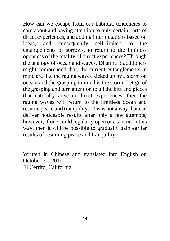How can we escape from our habitual tendencies to care about and paying attention to only certain parts of direct experiences, and adding interpretations based on ideas, and consequently self-limited to the entanglements of sorrows, to return to the limitless openness of the totality of direct experiences? Through the analogy of ocean and waves, Dharma practitioners might comprehend that, the current entanglements in mind are like the raging waves kicked up by a storm on ocean, and the grasping in mind is the storm. Let go of the grasping and turn attention to all the bits and pieces that naturally arise in direct experiences, then the raging waves will return to the limitless ocean and resume peace and tranquility. This is not a way that can deliver noticeable results after only a few attempts; however, if one could regularly open one′s mind in this way, then it will be possible to gradually gain earlier results of resuming peace and tranquility.

Written in Chinese and translated into English on October 30, 2019 El Cerrito, California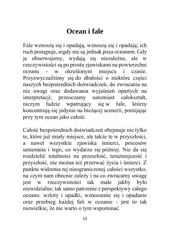# **Ocean i fale**

Fale wznoszą się i opadają, wznoszą się i opadają; ich ruch postępuje, nigdy nie są jednak poza oceanem. Gdy je obserwujemy, wydają się niezależne, ale w rzeczywistości są po prostu zjawiskami na powierzchni oceanu - w określonym miejscu i czasie. Przyzwyczailiśmy się do dbałości o niektóre części naszych bezpośrednich doświadczeń, do zwracania na nie uwagi oraz dodawania wyjaśnień opartych na interpretacji; przeoczamy natomiast całokształt, niczym ludzie wpatrujący się w fale, którzy koncentrują się jedynie na bieżącej scenerii, pomijając przy tym ocean jako całość.

Całość bezpośrednich doświadczeń obejmuje nie tylko te, które już miały miejsce, ale także te w przyszłości, a nawet wszystkie zjawiska śmierci, procesów umierania i tego, co wydarza się później. Nie da się rozdzielić totalności na przeszłość, teraźniejszość i przyszłość, nie można też przerwać życia i śmierci. Z punktu widzenia tej nieograniczonej całości wszystko, na czym nam obecnie zależy i na co zwracamy uwagę jest w rzeczywistości tak małe jakby było niewidzialne; tak samo patrzenie z perspektywy całego oceanu: wzloty i upadki, wznoszenie się i opadanie oraz przebieg każdej fali w oceanie - jest to tak niewielkie, że nie warto o tym wspominać.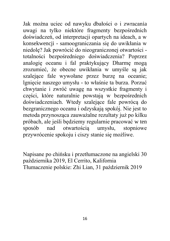Jak można uciec od nawyku dbałości o i zwracania uwagi na tylko niektóre fragmenty bezpośrednich doświadczeń, od interpretacji opartych na ideach, a w konsekwencji - samoograniczania się do uwikłania w niedolę? Jak powrócić do nieograniczonej otwartości totalności bezpośredniego doświadczenia? Poprzez analogię oceanu i fal praktykujący Dharmę mogą zrozumieć, że obecne uwikłania w umyśle są jak szalejące fale wywołane przez burzę na oceanie; lgnięcie naszego umysłu - to właśnie ta burza. Porzuć chwytanie i zwróć uwagę na wszystkie fragmenty i części, które naturalnie powstają w bezpośrednich doświadczeniach. Wtedy szalejące fale powrócą do bezgranicznego oceanu i odzyskają spokój. Nie jest to metoda przynosząca zauważalne rezultaty już po kilku próbach, ale jeśli będziemy regularnie pracować w ten sposób nad otwartością umysłu, stopniowe przywrócenie spokoju i ciszy stanie się możliwe.

Napisane po chińsku i przetłumaczone na angielski 30 października 2019, El Cerrito, Kalifornia Tłumaczenie polskie: Zhi Lian, 31 październik 2019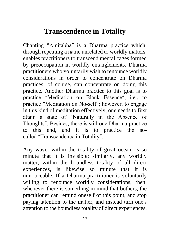# **Transcendence in Totality**

Chanting ″Amitabha″ is a Dharma practice which, through repeating a name unrelated to worldly matters, enables practitioners to transcend mental cages formed by preoccupation in worldly entanglements. Dharma practitioners who voluntarily wish to renounce worldly considerations in order to concentrate on Dharma practices, of course, can concentrate on doing this practice. Another Dharma practice to this goal is to practice ″Meditation on Blank Essence″, i.e., to practice ″Meditation on No-self″; however, to engage in this kind of meditation effectively, one needs to first attain a state of ″Naturally in the Absence of Thoughts″. Besides, there is still one Dharma practice to this end, and it is to practice the socalled ″Transcendence in Totality″.

Any wave, within the totality of great ocean, is so minute that it is invisible; similarly, any worldly matter, within the boundless totality of all direct experiences, is likewise so minute that it is unnoticeable. If a Dharma practitioner is voluntarily willing to renounce worldly considerations, then, whenever there is something in mind that bothers, the practitioner can remind oneself of this point, and stop paying attention to the matter, and instead turn one′s attention to the boundless totality of direct experiences.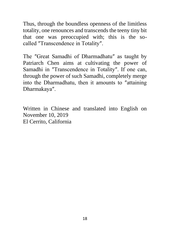Thus, through the boundless openness of the limitless totality, one renounces and transcends the teeny tiny bit that one was preoccupied with; this is the socalled ″Transcendence in Totality″.

The ″Great Samadhi of Dharmadhatu″ as taught by Patriarch Chen aims at cultivating the power of Samadhi in ″Transcendence in Totality″. If one can, through the power of such Samadhi, completely merge into the Dharmadhatu, then it amounts to ″attaining Dharmakaya″.

Written in Chinese and translated into English on November 10, 2019 El Cerrito, California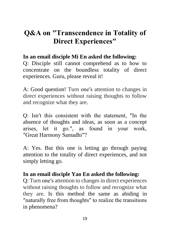# **Q&A on ″Transcendence in Totality of Direct Experiences″**

### **In an email disciple Mi En asked the following:**

Q: Disciple still cannot comprehend as to how to concentrate on the boundless totality of direct experiences. Guru, please reveal it!

A: Good question! Turn one′s attention to changes in direct experiences without raising thoughts to follow and recognize what they are.

Q: Isn′t this consistent with the statement, ″In the absence of thoughts and ideas, as soon as a concept arises, let it go.″, as found in your work, ″Great Harmony Samadhi″?

A: Yes. But this one is letting go through paying attention to the totality of direct experiences, and not simply letting go.

### **In an email disciple Yao En asked the following:**

Q: Turn one′s attention to changes in direct experiences without raising thoughts to follow and recognize what they are. Is this method the same as abiding in ″naturally free from thoughts″ to realize the transitions in phenomena?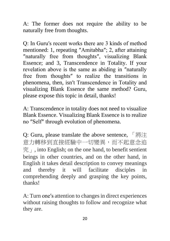A: The former does not require the ability to be naturally free from thoughts.

Q: In Guru′s recent works there are 3 kinds of method mentioned: 1, repeating ″Amitabha″; 2, after attaining ″naturally free from thoughts″, visualizing Blank Essence; and 3, Transcendence in Totality. If your revelation above is the same as abiding in ″naturally free from thoughts″ to realize the transitions in phenomena, then, isn′t Transcendence in Totality and visualizing Blank Essence the same method? Guru, please expose this topic in detail, thanks!

A: Transcendence in totality does not need to visualize Blank Essence. Visualizing Blank Essence is to realize no ″Self″ through evolution of phenomena.

Q: Guru, please translate the above sentence, 「將注 意力轉移到直接經驗中一切變異,而不起意念追  $\mathcal{F}_{1}$ , into English; on the one hand, to benefit sentient beings in other countries, and on the other hand, in English it takes detail description to convey meanings and thereby it will facilitate disciples in comprehending deeply and grasping the key points, thanks!

A: Turn one′s attention to changes in direct experiences without raising thoughts to follow and recognize what they are.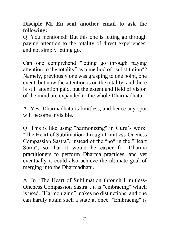### **Disciple Mi En sent another email to ask the following:**

Q: You mentioned: But this one is letting go through paying attention to the totality of direct experiences, and not simply letting go.

Can one comprehend ″letting go through paying attention to the totality″ as a method of ″substitution″? Namely, previously one was grasping to one point, one event, but now the attention is on the totality, and there is still attention paid, but the extent and field of vision of the mind are expanded to the whole Dharmadhatu.

A: Yes; Dharmadhatu is limitless, and hence any spot will become invisible.

Q: This is like using ″harmonizing″ in Guru's work, ″The Heart of Sublimation through Limitless-Oneness Compassion Sastra″, instead of the ″no″ in the ″Heart Sutra″, so that it would be easier for Dharma practitioners to perform Dharma practices, and yet eventually it could also achieve the ultimate goal of merging into the Dharmadhatu.

A: In ″The Heart of Sublimation through Limitless-Oneness Compassion Sastra″, it is ″embracing″ which is used. ″Harmonizing″ makes no distinctions, and one can hardly attain such a state at once. ″Embracing″ is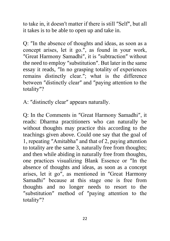to take in, it doesn′t matter if there is still ″Self″, but all it takes is to be able to open up and take in.

Q: ″In the absence of thoughts and ideas, as soon as a concept arises, let it go.″, as found in your work, ″Great Harmony Samadhi″, it is ″subtraction″ without the need to employ ″substitution″. But later in the same essay it reads, ″In no grasping totality of experiences remains distinctly clear.″; what is the difference between ″distinctly clear″ and ″paying attention to the totality″?

A: ″distinctly clear″ appears naturally.

Q: In the Comments in ″Great Harmony Samadhi″, it reads: Dharma practitioners who can naturally be without thoughts may practice this according to the teachings given above. Could one say that the goal of 1, repeating ″Amitabha″ and that of 2, paying attention to totality are the same 3, naturally free from thoughts; and then while abiding in naturally free from thoughts, one practices visualizing Blank Essence or ″In the absence of thoughts and ideas, as soon as a concept arises, let it go″, as mentioned in ″Great Harmony Samadhi″ because at this stage one is free from thoughts and no longer needs to resort to the ″substitution″ method of ″paying attention to the totality″?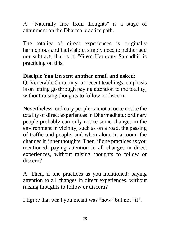A: ″Naturally free from thoughts″ is a stage of attainment on the Dharma practice path.

The totality of direct experiences is originally harmonious and indivisible; simply need to neither add nor subtract, that is it. ″Great Harmony Samadhi″ is practicing on this.

### **Disciple Yao En sent another email and asked:**

Q: Venerable Guru, in your recent teachings, emphasis is on letting go through paying attention to the totality, without raising thoughts to follow or discern.

Nevertheless, ordinary people cannot at once notice the totality of direct experiences in Dharmadhatu; ordinary people probably can only notice some changes in the environment in vicinity, such as on a road, the passing of traffic and people, and when alone in a room, the changes in inner thoughts. Then, if one practices as you mentioned: paying attention to all changes in direct experiences, without raising thoughts to follow or discern?

A: Then, if one practices as you mentioned: paying attention to all changes in direct experiences, without raising thoughts to follow or discern?

I figure that what you meant was ″how″ but not ″if″.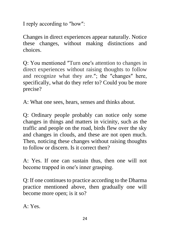I reply according to ″how″:

Changes in direct experiences appear naturally. Notice these changes, without making distinctions and choices.

Q: You mentioned ″Turn one′s attention to changes in direct experiences without raising thoughts to follow and recognize what they are.″; the ″changes″ here, specifically, what do they refer to? Could you be more precise?

A: What one sees, hears, senses and thinks about.

Q: Ordinary people probably can notice only some changes in things and matters in vicinity, such as the traffic and people on the road, birds flew over the sky and changes in clouds, and these are not open much. Then, noticing these changes without raising thoughts to follow or discern. Is it correct then?

A: Yes. If one can sustain thus, then one will not become trapped in one′s inner grasping.

Q: If one continues to practice according to the Dharma practice mentioned above, then gradually one will become more open; is it so?

A: Yes.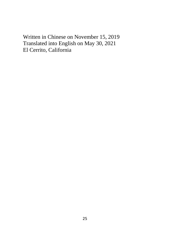Written in Chinese on November 15, 2019 Translated into English on May 30, 2021 El Cerrito, California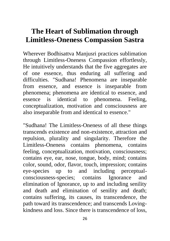# **The Heart of Sublimation through Limitless-Oneness Compassion Sastra**

Wherever Bodhisattva Manjusri practices sublimation through Limitless-Oneness Compassion effortlessly, He intuitively understands that the five aggregates are of one essence, thus enduring all suffering and difficulties. "Sudhana! Phenomena are inseparable from essence, and essence is inseparable from phenomena; phenomena are identical to essence, and essence is identical to phenomena. Feeling, conceptualization, motivation and consciousness are also inseparable from and identical to essence."

"Sudhana! The Limitless-Oneness of all these things transcends existence and non-existence, attraction and repulsion, plurality and singularity. Therefore the Limitless-Oneness contains phenomena, contains feeling, conceptualization, motivation, consciousness; contains eye, ear, nose, tongue, body, mind; contains color, sound, odor, flavor, touch, impression; contains eye-species up to and including perceptualconsciousness-species; contains Ignorance and elimination of Ignorance, up to and including senility and death and elimination of senility and death; contains suffering, its causes, its transcendence, the path toward its transcendence; and transcends Lovingkindness and loss. Since there is transcendence of loss,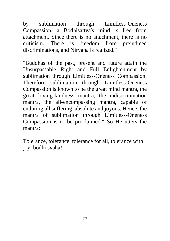by sublimation through Limitless-Oneness Compassion, a Bodhisattva's mind is free from attachment. Since there is no attachment, there is no criticism. There is freedom from prejudiced discriminations, and Nirvana is realized."

"Buddhas of the past, present and future attain the Unsurpassable Right and Full Enlightenment by sublimation through Limitless-Oneness Compassion. Therefore sublimation through Limitless-Oneness Compassion is known to be the great mind mantra, the great loving-kindness mantra, the indiscrimination mantra, the all-encompassing mantra, capable of enduring all suffering, absolute and joyous. Hence, the mantra of sublimation through Limitless-Oneness Compassion is to be proclaimed." So He utters the mantra:

Tolerance, tolerance, tolerance for all, tolerance with joy, bodhi svaha!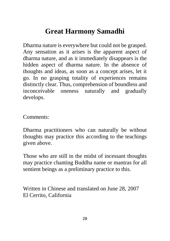# **Great Harmony Samadhi**

Dharma nature is everywhere but could not be grasped. Any sensation as it arises is the apparent aspect of dharma nature, and as it immediately disappears is the hidden aspect of dharma nature. In the absence of thoughts and ideas, as soon as a concept arises, let it go. In no grasping totality of experiences remains distinctly clear. Thus, comprehension of boundless and inconceivable oneness naturally and gradually develops.

Comments:

Dharma practitioners who can naturally be without thoughts may practice this according to the teachings given above.

Those who are still in the midst of incessant thoughts may practice chanting Buddha name or mantras for all sentient beings as a preliminary practice to this.

Written in Chinese and translated on June 28, 2007 El Cerrito, California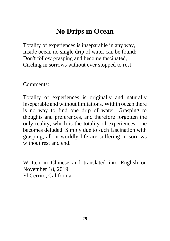# **No Drips in Ocean**

Totality of experiences is inseparable in any way, Inside ocean no single drip of water can be found; Don′t follow grasping and become fascinated, Circling in sorrows without ever stopped to rest!

Comments:

Totality of experiences is originally and naturally inseparable and without limitations. Within ocean there is no way to find one drip of water. Grasping to thoughts and preferences, and therefore forgotten the only reality, which is the totality of experiences, one becomes deluded. Simply due to such fascination with grasping, all in worldly life are suffering in sorrows without rest and end.

Written in Chinese and translated into English on November 18, 2019 El Cerrito, California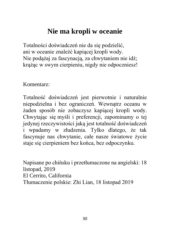# **Nie ma kropli w oceanie**

Totalności doświadczeń nie da się podzielić, ani w oceanie znaleźć kapiącej kropli wody. Nie podążaj za fascynacją, za chwytaniem nie idź; krążąc w swym cierpieniu, nigdy nie odpoczniesz!

Komentarz:

Totalność doświadczeń jest pierwotnie i naturalnie niepodzielna i bez ograniczeń. Wewnątrz oceanu w żaden sposób nie zobaczysz kapiącej kropli wody. Chwytając się myśli i preferencji, zapominamy o tej jedynej rzeczywistości jaką jest totalność doświadczeń i wpadamy w złudzenia. Tylko dlatego, że tak fascynuje nas chwytanie, całe nasze światowe życie staje się cierpieniem bez końca, bez odpoczynku.

Napisane po chińsku i przetłumaczone na angielski: 18 listopad, 2019 El Cerrito, California Tłumaczenie polskie: Zhi Lian, 18 listopad 2019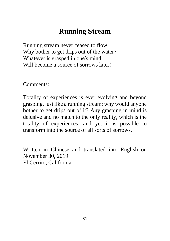# **Running Stream**

Running stream never ceased to flow; Why bother to get drips out of the water? Whatever is grasped in one′s mind, Will become a source of sorrows later!

Comments:

Totality of experiences is ever evolving and beyond grasping, just like a running stream; why would anyone bother to get drips out of it? Any grasping in mind is delusive and no match to the only reality, which is the totality of experiences; and yet it is possible to transform into the source of all sorts of sorrows.

Written in Chinese and translated into English on November 30, 2019 El Cerrito, California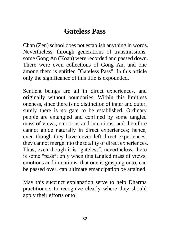# **Gateless Pass**

Chan (Zen) school does not establish anything in words. Nevertheless, through generations of transmissions, some Gong An (Koan) were recorded and passed down. There were even collections of Gong An, and one among them is entitled ″Gateless Pass″. In this article only the significance of this title is expounded.

Sentient beings are all in direct experiences, and originally without boundaries. Within this limitless oneness, since there is no distinction of inner and outer, surely there is no gate to be established. Ordinary people are entangled and confined by some tangled mass of views, emotions and intentions, and therefore cannot abide naturally in direct experiences; hence, even though they have never left direct experiences, they cannot merge into the totality of direct experiences. Thus, even though it is ″gateless″, nevertheless, there is some ″pass″; only when this tangled mass of views, emotions and intentions, that one is grasping onto, can be passed over, can ultimate emancipation be attained.

May this succinct explanation serve to help Dharma practitioners to recognize clearly where they should apply their efforts onto!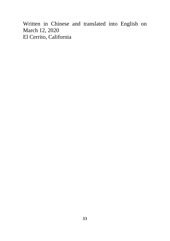Written in Chinese and translated into English on March 12, 2020 El Cerrito, California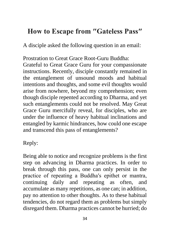# **How to Escape from ″Gateless Pass″**

A disciple asked the following question in an email:

Prostration to Great Grace Root-Guru Buddha:

Grateful to Great Grace Guru for your compassionate instructions. Recently, disciple constantly remained in the entanglement of unsound moods and habitual intentions and thoughts, and some evil thoughts would arise from nowhere, beyond my comprehension; even though disciple repented according to Dharma, and yet such entanglements could not be resolved. May Great Grace Guru mercifully reveal, for disciples, who are under the influence of heavy habitual inclinations and entangled by karmic hindrances, how could one escape and transcend this pass of entanglements?

Reply:

Being able to notice and recognize problems is the first step on advancing in Dharma practices. In order to break through this pass, one can only persist in the practice of repeating a Buddha′s epithet or mantra, continuing daily and repeating as often, and accumulate as many repetitions, as one can; in addition, pay no attention to other thoughts. As to these habitual tendencies, do not regard them as problems but simply disregard them. Dharma practices cannot be hurried; do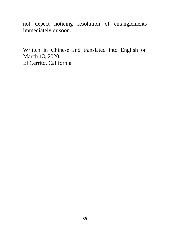not expect noticing resolution of entanglements immediately or soon.

Written in Chinese and translated into English on March 13, 2020 El Cerrito, California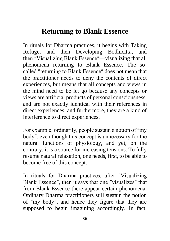# **Returning to Blank Essence**

In rituals for Dharma practices, it begins with Taking Refuge, and then Developing Bodhicitta, and then ″Visualizing Blank Essence″—visualizing that all phenomena returning to Blank Essence. The socalled ″returning to Blank Essence″ does not mean that the practitioner needs to deny the contents of direct experiences, but means that all concepts and views in the mind need to be let go because any concepts or views are artificial products of personal consciousness, and are not exactly identical with their references in direct experiences, and furthermore, they are a kind of interference to direct experiences.

For example, ordinarily, people sustain a notion of ″my body″, even though this concept is unnecessary for the natural functions of physiology, and yet, on the contrary, it is a source for increasing tensions. To fully resume natural relaxation, one needs, first, to be able to become free of this concept.

In rituals for Dharma practices, after ″Visualizing Blank Essence″, then it says that one ″visualizes″ that from Blank Essence there appear certain phenomena. Ordinary Dharma practitioners still sustain the notion of ″my body″, and hence they figure that they are supposed to begin imagining accordingly. In fact,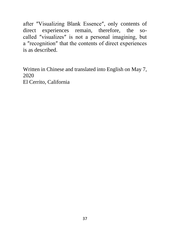after ″Visualizing Blank Essence″, only contents of direct experiences remain, therefore, the socalled ″visualizes″ is not a personal imagining, but a ″recognition″ that the contents of direct experiences is as described.

Written in Chinese and translated into English on May 7, 2020 El Cerrito, California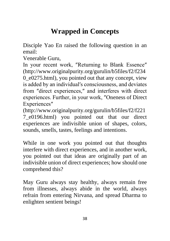# **Wrapped in Concepts**

Disciple Yao En raised the following question in an email:

Venerable Guru,

In your recent work, ″Returning to Blank Essence″ (http://www.originalpurity.org/gurulin/b5files/f2/f234 0\_e0275.html), you pointed out that any concept, view is added by an individual′s consciousness, and deviates from ″direct experiences,″ and interferes with direct experiences. Further, in your work, ″Oneness of Direct Experiences″

(http://www.originalpurity.org/gurulin/b5files/f2/f221 7\_e0196.html) you pointed out that our direct experiences are indivisible union of shapes, colors, sounds, smells, tastes, feelings and intentions.

While in one work you pointed out that thoughts interfere with direct experiences, and in another work, you pointed out that ideas are originally part of an indivisible union of direct experiences; how should one comprehend this?

May Guru always stay healthy, always remain free from illnesses, always abide in the world, always refrain from entering Nirvana, and spread Dharma to enlighten sentient beings!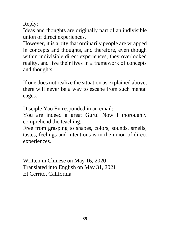Reply:

Ideas and thoughts are originally part of an indivisible union of direct experiences.

However, it is a pity that ordinarily people are wrapped in concepts and thoughts, and therefore, even though within indivisible direct experiences, they overlooked reality, and live their lives in a framework of concepts and thoughts.

If one does not realize the situation as explained above, there will never be a way to escape from such mental cages.

Disciple Yao En responded in an email:

You are indeed a great Guru! Now I thoroughly comprehend the teaching.

Free from grasping to shapes, colors, sounds, smells, tastes, feelings and intentions is in the union of direct experiences.

Written in Chinese on May 16, 2020 Translated into English on May 31, 2021 El Cerrito, California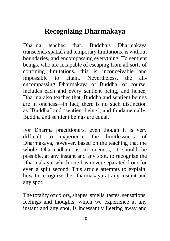# **Recognizing Dharmakaya**

Dharma teaches that, Buddha′s Dharmakaya transcends spatial and temporary limitations, is without boundaries, and encompassing everything. To sentient beings, who are incapable of escaping from all sorts of confining limitations, this is inconceivable and impossible to attain. Nevertheless, the allencompassing Dharmakaya of Buddha, of course, includes each and every sentient being, and hence, Dharma also teaches that, Buddha and sentient beings are in oneness—in fact, there is no such distinction as ″Buddha″ and ″sentient being″; and fundamentally, Buddha and sentient beings are equal.

For Dharma practitioners, even though it is very difficult to experience the limitlessness of Dharmakaya, however, based on the teaching that the whole Dharmadhatu is in oneness, it should be possible, at any instant and any spot, to recognize the Dharmakaya, which one has never separated from for even a split second. This article attempts to explain, how to recognize the Dharmakaya at any instant and any spot.

The totality of colors, shapes, smells, tastes, sensations, feelings and thoughts, which we experience at any instant and any spot, is incessantly fleeting away and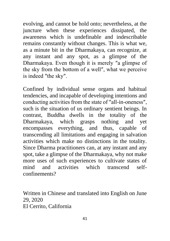evolving, and cannot be hold onto; nevertheless, at the juncture when these experiences dissipated, the awareness which is undefinable and indescribable remains constantly without changes. This is what we, as a minute bit in the Dharmakaya, can recognize, at any instant and any spot, as a glimpse of the Dharmakaya. Even though it is merely ″a glimpse of the sky from the bottom of a well″, what we perceive is indeed ″the sky″.

Confined by individual sense organs and habitual tendencies, and incapable of developing intentions and conducting activities from the state of ″all-in-oneness″, such is the situation of us ordinary sentient beings. In contrast, Buddha dwells in the totality of the Dharmakaya, which grasps nothing and yet encompasses everything, and thus, capable of transcending all limitations and engaging in salvation activities which make no distinctions in the totality. Since Dharma practitioners can, at any instant and any spot, take a glimpse of the Dharmakaya, why not make more uses of such experiences to cultivate states of mind and activities which transcend selfconfinements?

Written in Chinese and translated into English on June 29, 2020 El Cerrito, California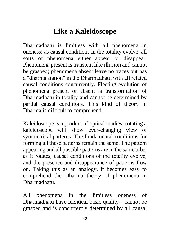# **Like a Kaleidoscope**

Dharmadhatu is limitless with all phenomena in oneness; as causal conditions in the totality evolve, all sorts of phenomena either appear or disappear. Phenomena present is transient like illusion and cannot be grasped; phenomena absent leave no traces but has a ″dharma station″ in the Dharmadhatu with all related causal conditions concurrently. Fleeting evolution of phenomena present or absent is transformation of Dharmadhatu in totality and cannot be determined by partial causal conditions. This kind of theory in Dharma is difficult to comprehend.

Kaleidoscope is a product of optical studies; rotating a kaleidoscope will show ever-changing view of symmetrical patterns. The fundamental conditions for forming all these patterns remain the same. The pattern appearing and all possible patterns are in the same tube; as it rotates, causal conditions of the totality evolve, and the presence and disappearance of patterns flow on. Taking this as an analogy, it becomes easy to comprehend the Dharma theory of phenomena in Dharmadhatu.

All phenomena in the limitless oneness of Dharmadhatu have identical basic quality—cannot be grasped and is concurrently determined by all causal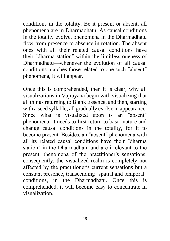conditions in the totality. Be it present or absent, all phenomena are in Dharmadhatu. As causal conditions in the totality evolve, phenomena in the Dharmadhatu flow from presence to absence in rotation. The absent ones with all their related causal conditions have their ″dharma station″ within the limitless oneness of Dharmadhatu—whenever the evolution of all causal conditions matches those related to one such ″absent″ phenomena, it will appear.

Once this is comprehended, then it is clear, why all visualizations in Vajrayana begin with visualizing that all things returning to Blank Essence, and then, starting with a seed syllable, all gradually evolve in appearance. Since what is visualized upon is an ″absent″ phenomena, it needs to first return to basic nature and change causal conditions in the totality, for it to become present. Besides, an ″absent″ phenomena with all its related causal conditions have their ″dharma station″ in the Dharmadhatu and are irrelevant to the present phenomena of the practitioner′s sensations; consequently, the visualized realm is completely not affected by the practitioner′s current sensations but a constant presence, transcending ″spatial and temporal″ conditions, in the Dharmadhatu. Once this is comprehended, it will become easy to concentrate in visualization.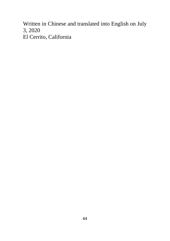Written in Chinese and translated into English on July 3, 2020 El Cerrito, California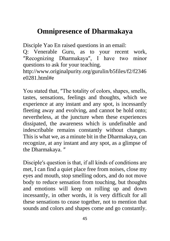# **Omnipresence of Dharmakaya**

Disciple Yao En raised questions in an email:

Q: Venerable Guru, as to your recent work, ″Recognizing Dharmakaya″, I have two minor questions to ask for your teaching.

http://www.originalpurity.org/gurulin/b5files/f2/f2346 e0281.html#e

You stated that, ″The totality of colors, shapes, smells, tastes, sensations, feelings and thoughts, which we experience at any instant and any spot, is incessantly fleeting away and evolving, and cannot be hold onto; nevertheless, at the juncture when these experiences dissipated, the awareness which is undefinable and indescribable remains constantly without changes. This is what we, as a minute bit in the Dharmakaya, can recognize, at any instant and any spot, as a glimpse of the Dharmakaya. ″

Disciple′s question is that, if all kinds of conditions are met, I can find a quiet place free from noises, close my eyes and mouth, stop smelling odors, and do not move body to reduce sensation from touching, but thoughts and emotions will keep on rolling up and down incessantly, in other words, it is very difficult for all these sensations to cease together, not to mention that sounds and colors and shapes come and go constantly.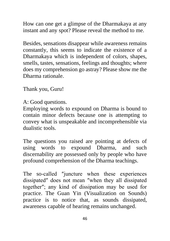How can one get a glimpse of the Dharmakaya at any instant and any spot? Please reveal the method to me.

Besides, sensations disappear while awareness remains constantly, this seems to indicate the existence of a Dharmakaya which is independent of colors, shapes, smells, tastes, sensations, feelings and thoughts; where does my comprehension go astray? Please show me the Dharma rationale.

Thank you, Guru!

A: Good questions.

Employing words to expound on Dharma is bound to contain minor defects because one is attempting to convey what is unspeakable and incomprehensible via dualistic tools.

The questions you raised are pointing at defects of using words to expound Dharma, and such discernability are possessed only by people who have profound comprehension of the Dharma teachings.

The so-called ″juncture when these experiences dissipated″ does not mean ″when they all dissipated together″; any kind of dissipation may be used for practice. The Guan Yin (Visualization on Sounds) practice is to notice that, as sounds dissipated, awareness capable of hearing remains unchanged.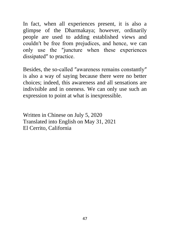In fact, when all experiences present, it is also a glimpse of the Dharmakaya; however, ordinarily people are used to adding established views and couldn′t be free from prejudices, and hence, we can only use the ″juncture when these experiences dissipated″ to practice.

Besides, the so-called ″awareness remains constantly″ is also a way of saying because there were no better choices; indeed, this awareness and all sensations are indivisible and in oneness. We can only use such an expression to point at what is inexpressible.

Written in Chinese on July 5, 2020 Translated into English on May 31, 2021 El Cerrito, California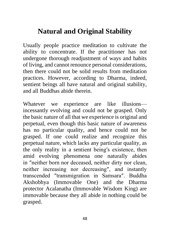# **Natural and Original Stability**

Usually people practice meditation to cultivate the ability to concentrate. If the practitioner has not undergone thorough readjustment of ways and habits of living, and cannot renounce personal considerations, then there could not be solid results from meditation practices. However, according to Dharma, indeed, sentient beings all have natural and original stability, and all Buddhas abide therein.

Whatever we experience are like illusions incessantly evolving and could not be grasped. Only the basic nature of all that we experience is original and perpetual, even though this basic nature of awareness has no particular quality, and hence could not be grasped. If one could realize and recognize this perpetual nature, which lacks any particular quality, as the only reality in a sentient being′s existence, then amid evolving phenomena one naturally abides in ″neither born nor deceased, neither dirty nor clean, neither increasing nor decreasing″, and instantly transcended ″transmigration in Samsara″. Buddha Akshobhya (Immovable One) and the Dharma protector Acalanatha (Immovable Wisdom King) are immovable because they all abide in nothing could be grasped.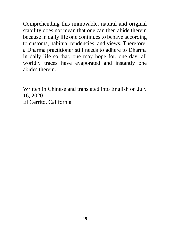Comprehending this immovable, natural and original stability does not mean that one can then abide therein because in daily life one continues to behave according to customs, habitual tendencies, and views. Therefore, a Dharma practitioner still needs to adhere to Dharma in daily life so that, one may hope for, one day, all worldly traces have evaporated and instantly one abides therein.

Written in Chinese and translated into English on July 16, 2020 El Cerrito, California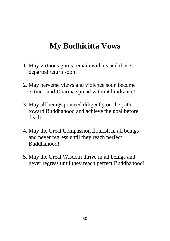# **My Bodhicitta Vows**

- 1. May virtuous gurus remain with us and those departed return soon!
- 2. May perverse views and violence soon become extinct, and Dharma spread without hindrance!
- 3. May all beings proceed diligently on the path toward Buddhahood and achieve the goal before death!
- 4. May the Great Compassion flourish in all beings and never regress until they reach perfect Buddhahood!
- 5. May the Great Wisdom thrive in all beings and never regress until they reach perfect Buddhahood!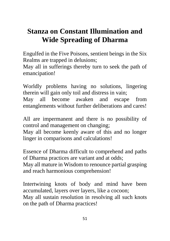# **Stanza on Constant Illumination and Wide Spreading of Dharma**

Engulfed in the Five Poisons, sentient beings in the Six Realms are trapped in delusions;

May all in sufferings thereby turn to seek the path of emancipation!

Worldly problems having no solutions, lingering therein will gain only toil and distress in vain;

May all become awaken and escape from entanglements without further deliberations and cares!

All are impermanent and there is no possibility of control and management on changing;

May all become keenly aware of this and no longer linger in comparisons and calculations!

Essence of Dharma difficult to comprehend and paths of Dharma practices are variant and at odds;

May all mature in Wisdom to renounce partial grasping and reach harmonious comprehension!

Intertwining knots of body and mind have been accumulated, layers over layers, like a cocoon; May all sustain resolution in resolving all such knots on the path of Dharma practices!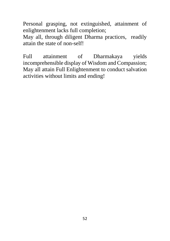Personal grasping, not extinguished, attainment of enlightenment lacks full completion;

May all, through diligent Dharma practices, readily attain the state of non-self!

Full attainment of Dharmakaya yields incomprehensible display of Wisdom and Compassion; May all attain Full Enlightenment to conduct salvation activities without limits and ending!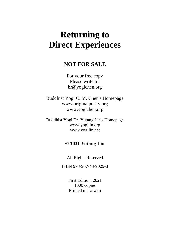# **Returning to Direct Experiences**

#### **NOT FOR SALE**

For your free copy Please write to: br@yogichen.org

Buddhist Yogi C. M. Chen's Homepage www.originalpurity.org www.yogichen.org

Buddhist Yogi Dr. Yutang Lin's Homepage www.yogilin.org www.yogilin.net

#### **© 2021 Yutang Lin**

All Rights Reserved

ISBN 978-957-43-9029-8

First Edition, 2021 1000 copies Printed in Taiwan